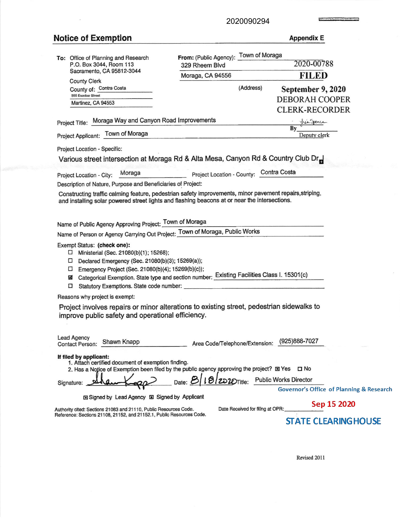2020090294

## **Notice of Exemption**

**Appendix E** 

**Louisiana** 

Ξ

|                                                                                                                                                                                                                                                                                                                                                                                                        | From: (Public Agency): Town of Moraga   |                                                                                                                                         |  |  |
|--------------------------------------------------------------------------------------------------------------------------------------------------------------------------------------------------------------------------------------------------------------------------------------------------------------------------------------------------------------------------------------------------------|-----------------------------------------|-----------------------------------------------------------------------------------------------------------------------------------------|--|--|
| To: Office of Planning and Research<br>P.O. Box 3044, Room 113<br>Sacramento, CA 95812-3044                                                                                                                                                                                                                                                                                                            | 329 Rheem Blvd                          | 2020-00788                                                                                                                              |  |  |
|                                                                                                                                                                                                                                                                                                                                                                                                        | Moraga, CA 94556                        | <b>FILED</b>                                                                                                                            |  |  |
| <b>County Clerk</b><br>County of: Contra Costa                                                                                                                                                                                                                                                                                                                                                         | (Address)                               | September 9, 2020                                                                                                                       |  |  |
| 555 Escobar Street                                                                                                                                                                                                                                                                                                                                                                                     |                                         | <b>DEBORAH COOPER</b>                                                                                                                   |  |  |
| Martinez, CA 94553                                                                                                                                                                                                                                                                                                                                                                                     |                                         | <b>CLERK-RECORDER</b>                                                                                                                   |  |  |
| Project Title: Moraga Way and Canyon Road Improvements                                                                                                                                                                                                                                                                                                                                                 |                                         | By Juicque                                                                                                                              |  |  |
| Project Applicant: Town of Moraga                                                                                                                                                                                                                                                                                                                                                                      |                                         | Deputy clerk                                                                                                                            |  |  |
| Project Location - Specific:                                                                                                                                                                                                                                                                                                                                                                           |                                         |                                                                                                                                         |  |  |
| Various street intersection at Moraga Rd & Alta Mesa, Canyon Rd & Country Club Dr                                                                                                                                                                                                                                                                                                                      |                                         |                                                                                                                                         |  |  |
| Project Location - City: Moraga                                                                                                                                                                                                                                                                                                                                                                        | Project Location - County: Contra Costa |                                                                                                                                         |  |  |
| Description of Nature, Purpose and Beneficiaries of Project:                                                                                                                                                                                                                                                                                                                                           |                                         |                                                                                                                                         |  |  |
| Constructing traffic calming feature, pedestrian safety improvements, minor pavement repairs, striping,<br>and installing solar powered street lights and flashing beacons at or near the intersections.                                                                                                                                                                                               |                                         |                                                                                                                                         |  |  |
| Name of Public Agency Approving Project: Town of Moraga                                                                                                                                                                                                                                                                                                                                                |                                         |                                                                                                                                         |  |  |
| Name of Person or Agency Carrying Out Project: Town of Moraga, Public Works                                                                                                                                                                                                                                                                                                                            |                                         |                                                                                                                                         |  |  |
| Exempt Status: (check one):<br>Ministerial (Sec. 21080(b)(1); 15268);<br>ш<br>Declared Emergency (Sec. 21080(b)(3); 15269(a));<br>$\Box$<br>□ Emergency Project (Sec. 21080(b)(4); 15269(b)(c));<br>Categorical Exemption. State type and section number: Existing Facilities Class I. 15301(c)<br>図<br>□                                                                                              |                                         |                                                                                                                                         |  |  |
| Reasons why project is exempt:                                                                                                                                                                                                                                                                                                                                                                         |                                         |                                                                                                                                         |  |  |
| Project involves repairs or minor alterations to existing street, pedestrian sidewalks to<br>improve public safety and operational efficiency.                                                                                                                                                                                                                                                         |                                         |                                                                                                                                         |  |  |
| Lead Agency<br>Contact Person: Shawn Knapp                                                                                                                                                                                                                                                                                                                                                             | Area Code/Telephone/Extension:          | (925)888-7027                                                                                                                           |  |  |
| If filed by applicant:<br>1. Attach certified document of exemption finding.<br>2. Has a Notice of Exemption been filed by the public agency approving the project? I Yes   I No<br>Signature:<br><b>In Signed by Lead Agency II Signed by Applicant</b><br>Authority cited: Sections 21083 and 21110, Public Resources Code.<br>Reference: Sections 21108, 21152, and 21152.1, Public Resources Code. | Date Received for filing at OPR:        | Date: 8 19 20 20 Title: Public Works Director<br>Governor's Office of Planning & Research<br>Sep 15 2020<br><b>STATE CLEARING HOUSE</b> |  |  |

Revised 2011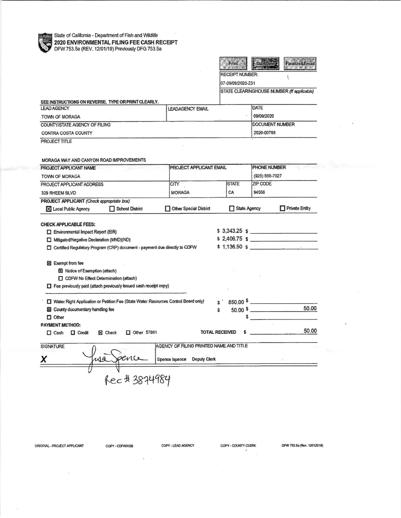State of California - Department of Fish and Wildlife<br>2020 ENVIRONMENTAL FILING FFF CADILITY<br>DFW 753 50 (PDI) 2020 ENVIRONMENTAL FILING FEE CASH RECEIPT<br>DFW 753.5a (REV. 12/01/19) Previously DFG 753.5a



07-09/09/2020-231

STATE CLEARINGHOUSE NUMBER (If applicable)

 $\overline{\mathbf{S}}$ 

| SEE INSTRUCTIONS ON REVERSE. TYPE OR PRINT CLEARLY. |                         |            |
|-----------------------------------------------------|-------------------------|------------|
| <b>LEAD AGENCY</b>                                  | <b>LEADAGENCY EMAIL</b> | DATE       |
| TOWN OF MORAGA                                      |                         | 09/09/2020 |
| COUNTY/STATE AGENCY OF FILING                       | <b>DOCUMENT NUMBER</b>  |            |
| CONTRA COSTA COUNTY                                 |                         | 2020-00788 |

PROJECT TITLE

| MORAGA WAY AND CANYON ROAD IMPROVEMENTS                                                 |                                                                                    |                                         |                                |          |                        |  |
|-----------------------------------------------------------------------------------------|------------------------------------------------------------------------------------|-----------------------------------------|--------------------------------|----------|------------------------|--|
| PROJECT APPLICANT NAME<br>TOWN OF MORAGA<br>PROJECT APPLICANT ADDRESS<br>329 RHEEM BLVD |                                                                                    |                                         | <b>PROJECT APPLICANT EMAIL</b> |          | PHONE NUMBER           |  |
|                                                                                         |                                                                                    |                                         |                                |          | (925) 888-7027         |  |
|                                                                                         |                                                                                    | <b>CITY</b>                             | <b>STATE</b>                   | ZIP CODE |                        |  |
|                                                                                         |                                                                                    | <b>MORAGA</b>                           | CA                             | 94556    |                        |  |
| PROJECT APPLICANT (Check appropriate box)                                               |                                                                                    |                                         |                                |          |                        |  |
| X Local Public Agency                                                                   | School District                                                                    | Other Special District                  | □ State Agency                 |          | Private Entity         |  |
|                                                                                         |                                                                                    |                                         |                                |          |                        |  |
| <b>CHECK APPLICABLE FEES:</b>                                                           |                                                                                    |                                         |                                |          | $$3,343.25$ s          |  |
| $\Box$ Environmental Impact Report (EIR)                                                |                                                                                    |                                         |                                |          | $$2,406.75$ $$$        |  |
| Mitigated/Negative Declaration (MND)(ND)                                                | Certified Regulatory Program (CRP) document - payment due directly to CDFW         |                                         |                                |          | $$1,136.50 \text{ s}$  |  |
|                                                                                         |                                                                                    |                                         |                                |          |                        |  |
| Exempt from fee                                                                         |                                                                                    |                                         |                                |          |                        |  |
| Notice of Exemption (attach)                                                            |                                                                                    |                                         |                                |          |                        |  |
| CDFW No Effect Determination (attach)                                                   |                                                                                    |                                         |                                |          |                        |  |
|                                                                                         | $\Box$ Fee previously paid (attach previously issued cash receipt copy)            |                                         |                                |          |                        |  |
|                                                                                         |                                                                                    |                                         |                                |          |                        |  |
|                                                                                         | Water Right Application or Petition Fee (State Water Resources Control Board only) |                                         |                                |          | $850.00$ $\frac{1}{2}$ |  |
| X County documentary handling fee                                                       |                                                                                    |                                         | S                              |          | 50.00<br>$50.00$ \$    |  |
| $\Box$ Other                                                                            |                                                                                    |                                         |                                |          |                        |  |
| <b>PAYMENT METHOD:</b>                                                                  |                                                                                    |                                         |                                |          |                        |  |
| <b>D</b> Credit<br>$\Box$ Cash                                                          | X Check<br>$\Box$ Other 57861                                                      |                                         | <b>TOTAL RECEIVED</b>          |          | 50.00                  |  |
| <b>SIGNATURE</b>                                                                        |                                                                                    | AGENCY OF FILING PRINTED NAME AND TITLE |                                |          |                        |  |
|                                                                                         |                                                                                    |                                         |                                |          |                        |  |
|                                                                                         | pence  <br>49                                                                      | Spence Ispence Deputy Clerk             |                                |          |                        |  |
|                                                                                         |                                                                                    |                                         |                                |          |                        |  |
|                                                                                         | Rec # 3874984                                                                      |                                         |                                |          |                        |  |
|                                                                                         |                                                                                    |                                         |                                |          |                        |  |

ORIGINAL - PROJECT APPLICANT

COPY - CDFW/ASB